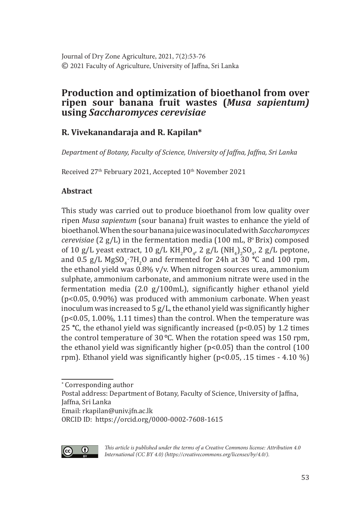# **Production and optimization of bioethanol from over ripen sour banana fruit wastes (***Musa sapientum)*  **using** *Saccharomyces cerevisiae*

# **R. Vivekanandaraja and R. Kapilan\***

*Department of Botany, Faculty of Science, University of Jaffna, Jaffna, Sri Lanka*

Received 27<sup>th</sup> February 2021, Accepted 10<sup>th</sup> November 2021

# **Abstract**

This study was carried out to produce bioethanol from low quality over ripen *Musa sapientum* (sour banana) fruit wastes to enhance the yield of bioethanol. When the sour banana juice was inoculated with *Saccharomyces cerevisiae* (2 g/L) in the fermentation media (100 mL, 8<sup>°</sup> Brix) composed of 10 g/L yeast extract, 10 g/L  $KH_{2}PO_{4}$ , 2 g/L  $(MH_{4})_{2}SO_{4}$ , 2 g/L peptone, and  $0.5$  g/L MgSO<sub>4</sub> $\cdot$ 7H<sub>2</sub>O and fermented for 24h at 30 °C and 100 rpm, the ethanol yield was 0.8% v/v. When nitrogen sources urea, ammonium sulphate, ammonium carbonate, and ammonium nitrate were used in the fermentation media (2.0 g/100mL), significantly higher ethanol yield (p<0.05, 0.90%) was produced with ammonium carbonate. When yeast inoculum was increased to 5  $g/L$ , the ethanol yield was significantly higher  $(p<0.05, 1.00\%$ , 1.11 times) than the control. When the temperature was 25 **°**C, the ethanol yield was significantly increased (p<0.05) by 1.2 times the control temperature of 30 **°**C. When the rotation speed was 150 rpm, the ethanol yield was significantly higher (p<0.05) than the control (100 rpm). Ethanol yield was significantly higher (p<0.05, .15 times - 4.10 %)

Email: rkapilan@univ.jfn.ac.lk

ORCID ID: https://orcid.org/0000-0002-7608-1615



*This article is published under the terms of a Creative Commons license: Attribution 4.0 International (CC BY 4.0) (https://creativecommons.org/licenses/by/4.0/).*

<sup>∗</sup> Corresponding author

Postal address: Department of Botany, Faculty of Science, University of Jaffna, Jaffna, Sri Lanka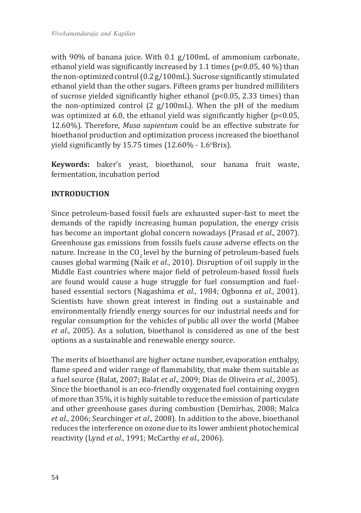with 90% of banana juice. With 0.1 g/100mL of ammonium carbonate, ethanol yield was significantly increased by 1.1 times (p<0.05, 40 %) than the non-optimized control (0.2 g/100mL). Sucrose significantly stimulated ethanol yield than the other sugars. Fifteen grams per hundred milliliters of sucrose yielded significantly higher ethanol (p<0.05, 2.33 times) than the non-optimized control (2 g/100mL). When the pH of the medium was optimized at 6.0, the ethanol yield was significantly higher (p<0.05, 12.60%). Therefore, *Musa sapientum* could be an effective substrate for bioethanol production and optimization process increased the bioethanol yield significantly by  $15.75$  times  $(12.60\% - 1.6$ °Brix).

**Keywords:** baker's yeast, bioethanol, sour banana fruit waste, fermentation, incubation period

# **INTRODUCTION**

Since petroleum-based fossil fuels are exhausted super-fast to meet the demands of the rapidly increasing human population, the energy crisis has become an important global concern nowadays (Prasad *et al*., 2007). Greenhouse gas emissions from fossils fuels cause adverse effects on the nature. Increase in the CO<sub>2</sub> level by the burning of petroleum-based fuels causes global warming (Naik *et al*., 2010). Disruption of oil supply in the Middle East countries where major field of petroleum-based fossil fuels are found would cause a huge struggle for fuel consumption and fuelbased essential sectors (Nagashima *et al*., 1984; Ogbonna *et al*., 2001). Scientists have shown great interest in finding out a sustainable and environmentally friendly energy sources for our industrial needs and for regular consumption for the vehicles of public all over the world (Mabee *et al*., 2005). As a solution, bioethanol is considered as one of the best options as a sustainable and renewable energy source.

The merits of bioethanol are higher octane number, evaporation enthalpy, flame speed and wider range of flammability, that make them suitable as a fuel source (Balat, 2007; Balat *et al*., 2009; Dias de Oliveira *et al*., 2005). Since the bioethanol is an eco-friendly oxygenated fuel containing oxygen of more than 35%, it is highly suitable to reduce the emission of particulate and other greenhouse gases during combustion (Demirbas, 2008; Malca *et al*., 2006; Searchinger *et al*., 2008). In addition to the above, bioethanol reduces the interference on ozone due to its lower ambient photochemical reactivity (Lynd *et al*., 1991; McCarthy *et al*., 2006).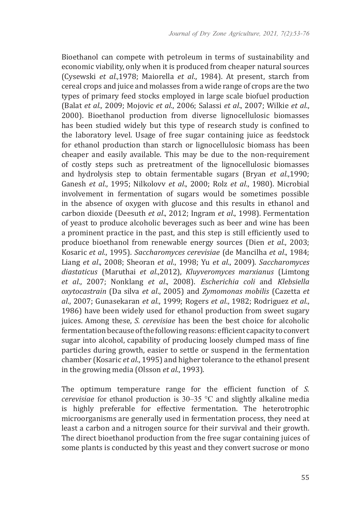Bioethanol can compete with petroleum in terms of sustainability and economic viability, only when it is produced from cheaper natural sources (Cysewski *et al.,*1978; Maiorella *et al*., 1984). At present, starch from cereal crops and juice and molasses from a wide range of crops are the two types of primary feed stocks employed in large scale biofuel production (Balat *et al.,* 2009; Mojovic *et al*., 2006; Salassi *et al*., 2007; Wilkie *et al*., 2000). Bioethanol production from diverse lignocellulosic biomasses has been studied widely but this type of research study is confined to the laboratory level. Usage of free sugar containing juice as feedstock for ethanol production than starch or lignocellulosic biomass has been cheaper and easily available. This may be due to the non-requirement of costly steps such as pretreatment of the lignocellulosic biomasses and hydrolysis step to obtain fermentable sugars (Bryan *et al*.,1990; Ganesh *et al*., 1995; Nilkolovv *et al*., 2000; Rolz *et al*., 1980). Microbial involvement in fermentation of sugars would be sometimes possible in the absence of oxygen with glucose and this results in ethanol and carbon dioxide (Deesuth *et al*., 2012; Ingram *et al*., 1998). Fermentation of yeast to produce alcoholic beverages such as beer and wine has been a prominent practice in the past, and this step is still efficiently used to produce bioethanol from renewable energy sources (Dien *et al*., 2003; Kosaric *et al*., 1995). *Saccharomyces cerevisiae* (de Mancilha *et al*., 1984; Liang *et al*., 2008; Sheoran *et al*., 1998; Yu *et al*., 2009). *Saccharomyces diastaticus* (Maruthai *et al*.,2012), *Kluyveromyces marxianus* (Limtong *et al*., 2007; Nonklang *et al*., 2008). *Escherichia coli* and *Klebsiella oxytocastrain* (Da silva *et al*., 2005) and *Zymomonas mobilis* (Cazetta *et al*., 2007; Gunasekaran *et al*., 1999; Rogers *et al*., 1982; Rodriguez *et al*., 1986) have been widely used for ethanol production from sweet sugary juices. Among these, *S. cerevisiae* has been the best choice for alcoholic fermentation because of the following reasons: efficient capacity to convert sugar into alcohol, capability of producing loosely clumped mass of fine particles during growth, easier to settle or suspend in the fermentation chamber (Kosaric *et al*., 1995) and higher tolerance to the ethanol present in the growing media (Olsson *et al*., 1993).

The optimum temperature range for the efficient function of *S. cerevisiae* for ethanol production is 30–35 °C and slightly alkaline media is highly preferable for effective fermentation. The heterotrophic microorganisms are generally used in fermentation process, they need at least a carbon and a nitrogen source for their survival and their growth. The direct bioethanol production from the free sugar containing juices of some plants is conducted by this yeast and they convert sucrose or mono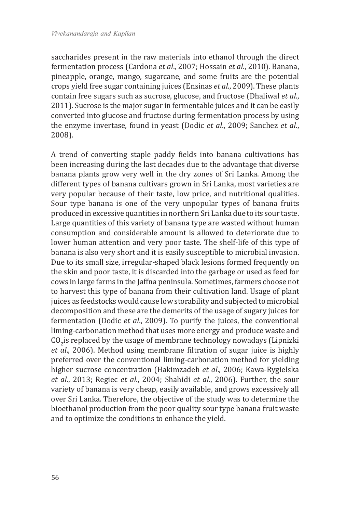saccharides present in the raw materials into ethanol through the direct fermentation process (Cardona *et al*., 2007; Hossain *et al*., 2010). Banana, pineapple, orange, mango, sugarcane, and some fruits are the potential crops yield free sugar containing juices (Ensinas *et al*., 2009). These plants contain free sugars such as sucrose, glucose, and fructose (Dhaliwal *et al*., 2011). Sucrose is the major sugar in fermentable juices and it can be easily converted into glucose and fructose during fermentation process by using the enzyme invertase, found in yeast (Dodic *et al*., 2009; Sanchez *et al*., 2008).

A trend of converting staple paddy fields into banana cultivations has been increasing during the last decades due to the advantage that diverse banana plants grow very well in the dry zones of Sri Lanka. Among the different types of banana cultivars grown in Sri Lanka, most varieties are very popular because of their taste, low price, and nutritional qualities. Sour type banana is one of the very unpopular types of banana fruits produced in excessive quantities in northern Sri Lanka due to its sour taste. Large quantities of this variety of banana type are wasted without human consumption and considerable amount is allowed to deteriorate due to lower human attention and very poor taste. The shelf-life of this type of banana is also very short and it is easily susceptible to microbial invasion. Due to its small size, irregular-shaped black lesions formed frequently on the skin and poor taste, it is discarded into the garbage or used as feed for cows in large farms in the Jaffna peninsula. Sometimes, farmers choose not to harvest this type of banana from their cultivation land. Usage of plant juices as feedstocks would cause low storability and subjected to microbial decomposition and these are the demerits of the usage of sugary juices for fermentation (Dodic *et al*., 2009). To purify the juices, the conventional liming-carbonation method that uses more energy and produce waste and  $\text{CO}_2$ is replaced by the usage of membrane technology nowadays (Lipnizki *et al*., 2006). Method using membrane filtration of sugar juice is highly preferred over the conventional liming-carbonation method for yielding higher sucrose concentration (Hakimzadeh *et al*., 2006; Kawa-Rygielska *et al*., 2013; Regiec *et al*., 2004; Shahidi *et al*., 2006). Further, the sour variety of banana is very cheap, easily available, and grows excessively all over Sri Lanka. Therefore, the objective of the study was to determine the bioethanol production from the poor quality sour type banana fruit waste and to optimize the conditions to enhance the yield.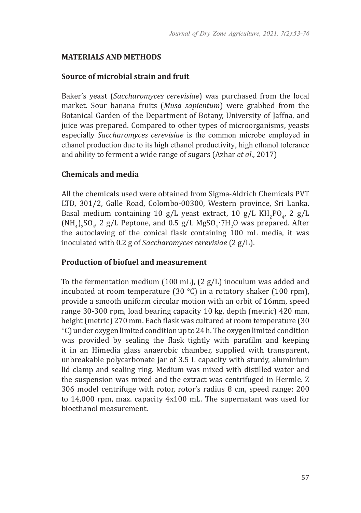#### **MATERIALS AND METHODS**

#### **Source of microbial strain and fruit**

Baker's yeast (*Saccharomyces cerevisiae*) was purchased from the local market. Sour banana fruits (*Musa sapientum*) were grabbed from the Botanical Garden of the Department of Botany, University of Jaffna, and juice was prepared. Compared to other types of microorganisms, yeasts especially *Saccharomyces cerevisiae* is the common microbe employed in ethanol production due to its high ethanol productivity, high ethanol tolerance and ability to ferment a wide range of sugars (Azhar *et al*., 2017)

### **Chemicals and media**

All the chemicals used were obtained from Sigma-Aldrich Chemicals PVT LTD, 301/2, Galle Road, Colombo-00300, Western province, Sri Lanka. Basal medium containing 10 g/L yeast extract, 10 g/L  $KH_{2}PO_{4}$ , 2 g/L  $(MH_4)_2SO_4$ , 2 g/L Peptone, and 0.5 g/L MgSO<sub>4</sub>.7H<sub>2</sub>O was prepared. After the autoclaving of the conical flask containing 100 mL media, it was inoculated with 0.2 g of *Saccharomyces cerevisiae* (2 g/L).

### **Production of biofuel and measurement**

To the fermentation medium (100 mL), (2 g/L) inoculum was added and incubated at room temperature (30  $^{\circ}$ C) in a rotatory shaker (100 rpm), provide a smooth uniform circular motion with an orbit of 16mm, speed range 30-300 rpm, load bearing capacity 10 kg, depth (metric) 420 mm, height (metric) 270 mm. Each flask was cultured at room temperature (30 °C) under oxygen limited condition up to 24 h. The oxygen limited condition was provided by sealing the flask tightly with parafilm and keeping it in an Himedia glass anaerobic chamber, supplied with transparent, unbreakable polycarbonate jar of 3.5 L capacity with sturdy, aluminium lid clamp and sealing ring. Medium was mixed with distilled water and the suspension was mixed and the extract was centrifuged in Hermle. Z 306 model centrifuge with rotor, rotor's radius 8 cm, speed range: 200 to 14,000 rpm, max. capacity 4x100 mL. The supernatant was used for bioethanol measurement.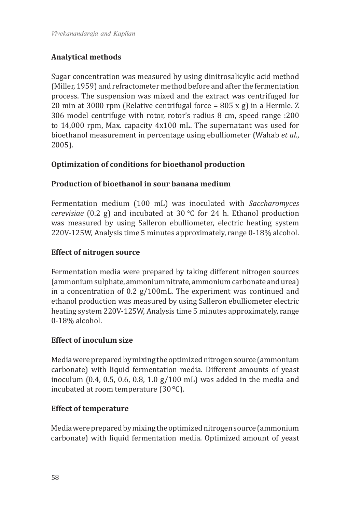# **Analytical methods**

Sugar concentration was measured by using dinitrosalicylic acid method (Miller, 1959) and refractometer method before and after the fermentation process. The suspension was mixed and the extract was centrifuged for 20 min at 3000 rpm (Relative centrifugal force = 805 x g) in a Hermle. Z 306 model centrifuge with rotor, rotor's radius 8 cm, speed range :200 to 14,000 rpm, Max. capacity 4x100 mL. The supernatant was used for bioethanol measurement in percentage using ebulliometer (Wahab *et al*., 2005).

# **Optimization of conditions for bioethanol production**

# **Production of bioethanol in sour banana medium**

Fermentation medium (100 mL) was inoculated with *Saccharomyces cerevisiae* (0.2 g) and incubated at 30 °C for 24 h. Ethanol production was measured by using Salleron ebulliometer, electric heating system 220V-125W, Analysis time 5 minutes approximately, range 0-18% alcohol.

# **Effect of nitrogen source**

Fermentation media were prepared by taking different nitrogen sources (ammonium sulphate, ammonium nitrate, ammonium carbonate and urea) in a concentration of 0.2 g/100mL. The experiment was continued and ethanol production was measured by using Salleron ebulliometer electric heating system 220V-125W, Analysis time 5 minutes approximately, range 0-18% alcohol.

# **Effect of inoculum size**

Media were prepared by mixing the optimized nitrogen source (ammonium carbonate) with liquid fermentation media. Different amounts of yeast inoculum (0.4, 0.5, 0.6, 0.8, 1.0 g/100 mL) was added in the media and incubated at room temperature (30**°**C).

# **Effect of temperature**

Media were prepared by mixing the optimized nitrogen source (ammonium carbonate) with liquid fermentation media. Optimized amount of yeast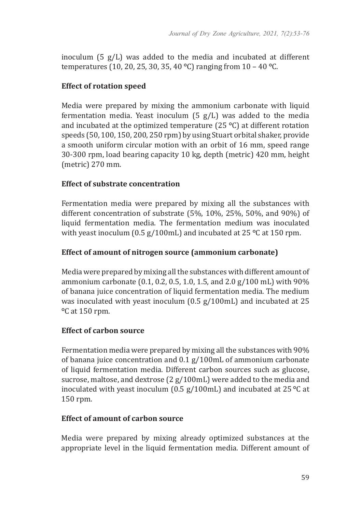inoculum (5 g/L) was added to the media and incubated at different temperatures (10, 20, 25, 30, 35, 40 **°**C) ranging from 10 – 40 **°**C.

## **Effect of rotation speed**

Media were prepared by mixing the ammonium carbonate with liquid fermentation media. Yeast inoculum  $(5 g/L)$  was added to the media and incubated at the optimized temperature (25 **°**C) at different rotation speeds (50, 100, 150, 200, 250 rpm) by using Stuart orbital shaker, provide a smooth uniform circular motion with an orbit of 16 mm, speed range 30-300 rpm, load bearing capacity 10 kg, depth (metric) 420 mm, height (metric) 270 mm.

## **Effect of substrate concentration**

Fermentation media were prepared by mixing all the substances with different concentration of substrate (5%, 10%, 25%, 50%, and 90%) of liquid fermentation media. The fermentation medium was inoculated with yeast inoculum (0.5 g/100mL) and incubated at 25 **°**C at 150 rpm.

# **Effect of amount of nitrogen source (ammonium carbonate)**

Media were prepared by mixing all the substances with different amount of ammonium carbonate (0.1, 0.2, 0.5, 1.0, 1.5, and 2.0 g/100 mL) with 90% of banana juice concentration of liquid fermentation media. The medium was inoculated with yeast inoculum (0.5 g/100mL) and incubated at 25 **°**C at 150 rpm.

## **Effect of carbon source**

Fermentation media were prepared by mixing all the substances with 90% of banana juice concentration and 0.1 g/100mL of ammonium carbonate of liquid fermentation media. Different carbon sources such as glucose, sucrose, maltose, and dextrose (2 g/100mL) were added to the media and inoculated with yeast inoculum (0.5 g/100mL) and incubated at 25 **°**C at 150 rpm.

## **Effect of amount of carbon source**

Media were prepared by mixing already optimized substances at the appropriate level in the liquid fermentation media. Different amount of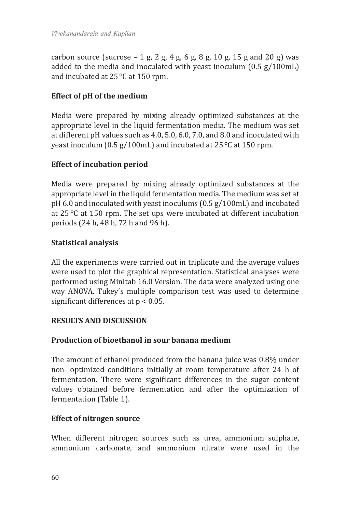carbon source (sucrose  $-1$  g, 2 g, 4 g, 6 g, 8 g, 10 g, 15 g and 20 g) was added to the media and inoculated with yeast inoculum (0.5 g/100mL) and incubated at 25**°**C at 150 rpm.

# **Effect of pH of the medium**

Media were prepared by mixing already optimized substances at the appropriate level in the liquid fermentation media. The medium was set at different pH values such as 4.0, 5.0, 6.0, 7.0, and 8.0 and inoculated with yeast inoculum (0.5 g/100mL) and incubated at 25**°**C at 150 rpm.

# **Effect of incubation period**

Media were prepared by mixing already optimized substances at the appropriate level in the liquid fermentation media. The medium was set at pH 6.0 and inoculated with yeast inoculums (0.5 g/100mL) and incubated at 25 **°**C at 150 rpm. The set ups were incubated at different incubation periods (24 h, 48 h, 72 h and 96 h).

# **Statistical analysis**

All the experiments were carried out in triplicate and the average values were used to plot the graphical representation. Statistical analyses were performed using Minitab 16.0 Version. The data were analyzed using one way ANOVA. Tukey's multiple comparison test was used to determine significant differences at p < 0.05.

## **RESULTS AND DISCUSSION**

## **Production of bioethanol in sour banana medium**

The amount of ethanol produced from the banana juice was 0.8% under non- optimized conditions initially at room temperature after 24 h of fermentation. There were significant differences in the sugar content values obtained before fermentation and after the optimization of fermentation (Table 1).

## **Effect of nitrogen source**

When different nitrogen sources such as urea, ammonium sulphate, ammonium carbonate, and ammonium nitrate were used in the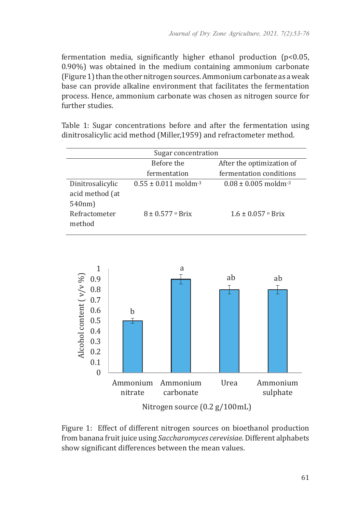fermentation media, significantly higher ethanol production  $(p<0.05$ , 0.90%) was obtained in the medium containing ammonium carbonate (Figure 1) than the other nitrogen sources. Ammonium carbonate as a weak base can provide alkaline environment that facilitates the fermentation process. Hence, ammonium carbonate was chosen as nitrogen source for further studies.

Table 1: Sugar concentrations before and after the fermentation using dinitrosalicylic acid method (Miller,1959) and refractometer method.

| Sugar concentration                           |                                      |                                      |
|-----------------------------------------------|--------------------------------------|--------------------------------------|
|                                               | Before the                           | After the optimization of            |
|                                               | fermentation                         | fermentation conditions              |
| Dinitrosalicylic<br>acid method (at<br>540nm) | $0.55 \pm 0.011$ moldm <sup>-3</sup> | $0.08 \pm 0.005$ moldm <sup>-3</sup> |
| Refractometer<br>method                       | $8 \pm 0.577$ o Brix                 | $1.6 \pm 0.057$ $\circ$ Brix         |



Figure 1: Effect of different nitrogen sources on bioethanol production from banana fruit juice using *Saccharomyces cerevisiae.* Different alphabets show significant differences between the mean values.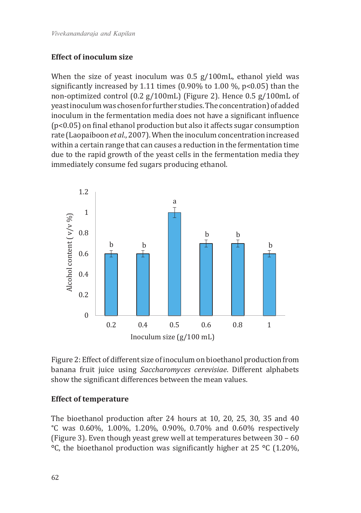### **Effect of inoculum size**

When the size of yeast inoculum was 0.5 g/100mL, ethanol yield was significantly increased by 1.11 times (0.90% to 1.00 %, p<0.05) than the non-optimized control (0.2 g/100mL) (Figure 2). Hence 0.5 g/100mL of yeast inoculum was chosen for further studies. The concentration) of added inoculum in the fermentation media does not have a significant influence (p<0.05) on final ethanol production but also it affects sugar consumption rate (Laopaiboon *et al*., 2007). When the inoculum concentration increased within a certain range that can causes a reduction in the fermentation time due to the rapid growth of the yeast cells in the fermentation media they immediately consume fed sugars producing ethanol.





### **Effect of temperature**

The bioethanol production after 24 hours at 10, 20, 25, 30, 35 and 40 °C was 0.60%, 1.00%, 1.20%, 0.90%, 0.70% and 0.60% respectively (Figure 3). Even though yeast grew well at temperatures between 30 – 60 **°**C, the bioethanol production was significantly higher at 25 **°**C (1.20%,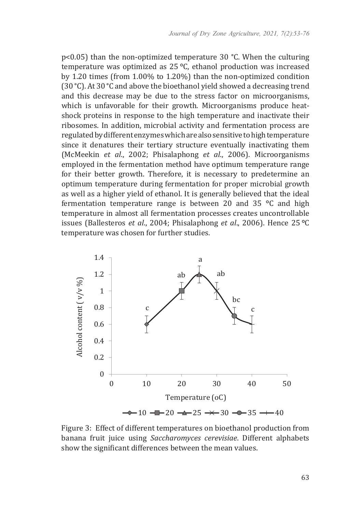$p<0.05$ ) than the non-optimized temperature 30 °C. When the culturing temperature was optimized as 25 **°**C, ethanol production was increased by 1.20 times (from 1.00% to 1.20%) than the non-optimized condition (30°C). At 30°C and above the bioethanol yield showed a decreasing trend and this decrease may be due to the stress factor on microorganisms, which is unfavorable for their growth. Microorganisms produce heatshock proteins in response to the high temperature and inactivate their ribosomes. In addition, microbial activity and fermentation process are regulated by different enzymes which are also sensitive to high temperature since it denatures their tertiary structure eventually inactivating them (McMeekin *et al*., 2002; Phisalaphong *et al*., 2006). Microorganisms employed in the fermentation method have optimum temperature range for their better growth. Therefore, it is necessary to predetermine an optimum temperature during fermentation for proper microbial growth as well as a higher yield of ethanol. It is generally believed that the ideal fermentation temperature range is between 20 and 35 **°**C and high temperature in almost all fermentation processes creates uncontrollable issues (Ballesteros *et al*., 2004; Phisalaphong *et al*., 2006). Hence 25 **°**C temperature was chosen for further studies.



Figure 3: Effect of different temperatures on bioethanol production from banana fruit juice using *Saccharomyces cerevisiae*. Different alphabets show the significant differences between the mean values.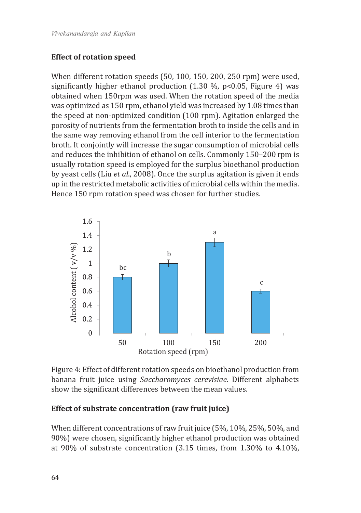## **Effect of rotation speed**

When different rotation speeds (50, 100, 150, 200, 250 rpm) were used, significantly higher ethanol production  $(1.30 \, \%)$ , p<0.05, Figure 4) was obtained when 150rpm was used. When the rotation speed of the media was optimized as 150 rpm, ethanol yield was increased by 1.08 times than the speed at non-optimized condition (100 rpm). Agitation enlarged the porosity of nutrients from the fermentation broth to inside the cells and in the same way removing ethanol from the cell interior to the fermentation broth. It conjointly will increase the sugar consumption of microbial cells and reduces the inhibition of ethanol on cells. Commonly 150–200 rpm is usually rotation speed is employed for the surplus bioethanol production by yeast cells (Liu *et al*., 2008). Once the surplus agitation is given it ends up in the restricted metabolic activities of microbial cells within the media. Hence 150 rpm rotation speed was chosen for further studies.



Figure 4: Effect of different rotation speeds on bioethanol production from banana fruit juice using *Saccharomyces cerevisiae*. Different alphabets show the significant differences between the mean values.

## **Effect of substrate concentration (raw fruit juice)**

When different concentrations of raw fruit juice (5%, 10%, 25%, 50%, and 90%) were chosen, significantly higher ethanol production was obtained at 90% of substrate concentration (3.15 times, from 1.30% to 4.10%,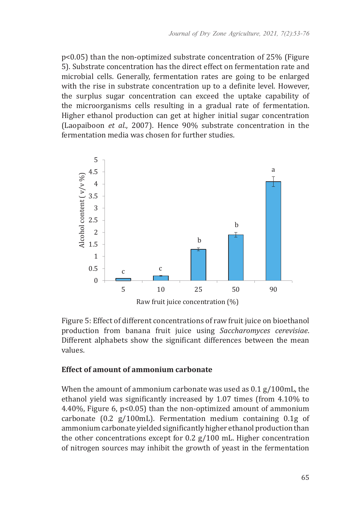p<0.05) than the non-optimized substrate concentration of 25% (Figure 5). Substrate concentration has the direct effect on fermentation rate and microbial cells. Generally, fermentation rates are going to be enlarged with the rise in substrate concentration up to a definite level. However, the surplus sugar concentration can exceed the uptake capability of the microorganisms cells resulting in a gradual rate of fermentation. Higher ethanol production can get at higher initial sugar concentration (Laopaiboon *et al*., 2007). Hence 90% substrate concentration in the fermentation media was chosen for further studies.



Figure 5: Effect of different concentrations of raw fruit juice on bioethanol production from banana fruit juice using *Saccharomyces cerevisiae*. Different alphabets show the significant differences between the mean values.

### **Effect of amount of ammonium carbonate**

When the amount of ammonium carbonate was used as 0.1 g/100mL, the ethanol yield was significantly increased by 1.07 times (from 4.10% to 4.40%, Figure 6, p<0.05) than the non-optimized amount of ammonium carbonate (0.2 g/100mL). Fermentation medium containing 0.1g of ammonium carbonate yielded significantly higher ethanol production than the other concentrations except for 0.2 g/100 mL. Higher concentration of nitrogen sources may inhibit the growth of yeast in the fermentation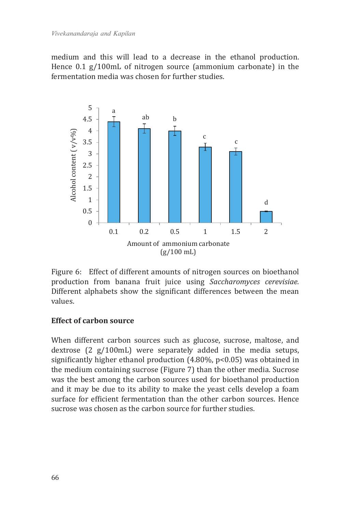medium and this will lead to a decrease in the ethanol production. Hence 0.1 g/100mL of nitrogen source (ammonium carbonate) in the fermentation media was chosen for further studies.



Figure 6:Effect of different amounts of nitrogen sources on bioethanol production from banana fruit juice using *Saccharomyces cerevisiae.*  Different alphabets show the significant differences between the mean values.

## **Effect of carbon source**

When different carbon sources such as glucose, sucrose, maltose, and dextrose (2 g/100mL) were separately added in the media setups, significantly higher ethanol production (4.80%, p<0.05) was obtained in the medium containing sucrose (Figure 7) than the other media. Sucrose was the best among the carbon sources used for bioethanol production and it may be due to its ability to make the yeast cells develop a foam surface for efficient fermentation than the other carbon sources. Hence sucrose was chosen as the carbon source for further studies.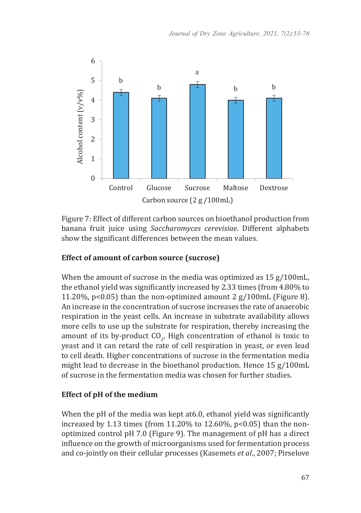

Figure 7: Effect of different carbon sources on bioethanol production from banana fruit juice using *Saccharomyces cerevisiae*. Different alphabets show the significant differences between the mean values.

## **Effect of amount of carbon source (sucrose)**

When the amount of sucrose in the media was optimized as 15 g/100mL, the ethanol yield was significantly increased by 2.33 times (from 4.80% to 11.20%, p<0.05) than the non-optimized amount 2 g/100mL (Figure 8). An increase in the concentration of sucrose increases the rate of anaerobic respiration in the yeast cells. An increase in substrate availability allows more cells to use up the substrate for respiration, thereby increasing the amount of its by-product  $CO_{2}$ , High concentration of ethanol is toxic to yeast and it can retard the rate of cell respiration in yeast, or even lead to cell death. Higher concentrations of sucrose in the fermentation media might lead to decrease in the bioethanol production. Hence 15 g/100mL of sucrose in the fermentation media was chosen for further studies.

## **Effect of pH of the medium**

When the pH of the media was kept at6.0, ethanol yield was significantly increased by 1.13 times (from 11.20% to 12.60%, p<0.05) than the nonoptimized control pH 7.0 (Figure 9). The management of pH has a direct influence on the growth of microorganisms used for fermentation process and co-jointly on their cellular processes (Kasemets *et al*., 2007; Pirselove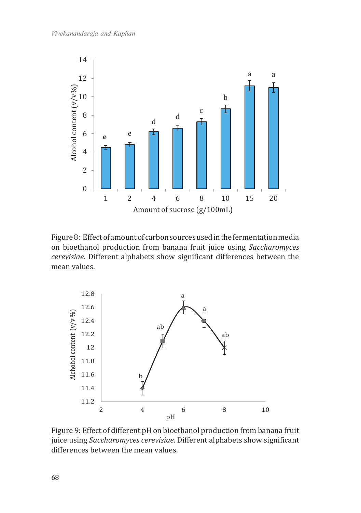

Figure 8: Effect of amount of carbon sources used in the fermentation media on bioethanol production from banana fruit juice using *Saccharomyces cerevisiae.* Different alphabets show significant differences between the mean values.



Figure 9: Effect of different pH on bioethanol production from banana fruit juice using *Saccharomyces cerevisiae*. Different alphabets show significant differences between the mean values.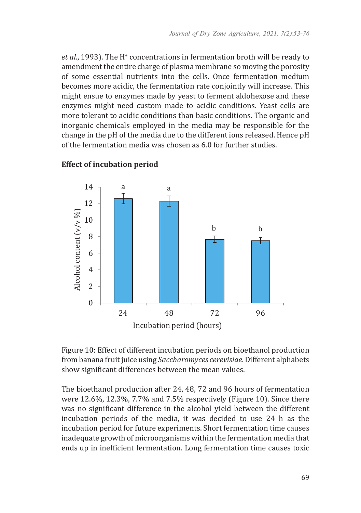*et al.*, 1993). The H<sup>+</sup> concentrations in fermentation broth will be ready to amendment the entire charge of plasma membrane so moving the porosity of some essential nutrients into the cells. Once fermentation medium becomes more acidic, the fermentation rate conjointly will increase. This might ensue to enzymes made by yeast to ferment aldohexose and these enzymes might need custom made to acidic conditions. Yeast cells are more tolerant to acidic conditions than basic conditions. The organic and inorganic chemicals employed in the media may be responsible for the change in the pH of the media due to the different ions released. Hence pH of the fermentation media was chosen as 6.0 for further studies.



# **Effect of incubation period**

Figure 10: Effect of different incubation periods on bioethanol production from banana fruit juice using *Saccharomyces cerevisiae.* Different alphabets show significant differences between the mean values.

The bioethanol production after 24, 48, 72 and 96 hours of fermentation were 12.6%, 12.3%, 7.7% and 7.5% respectively (Figure 10). Since there was no significant difference in the alcohol yield between the different incubation periods of the media, it was decided to use 24 h as the incubation period for future experiments. Short fermentation time causes inadequate growth of microorganisms within the fermentation media that ends up in inefficient fermentation. Long fermentation time causes toxic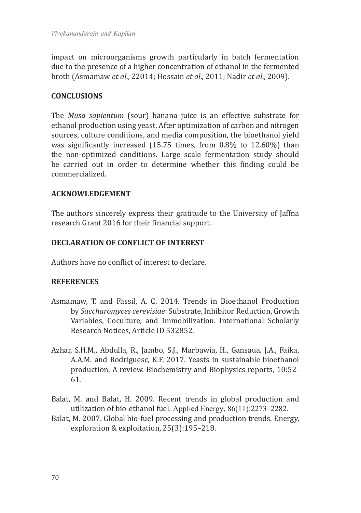impact on microorganisms growth particularly in batch fermentation due to the presence of a higher concentration of ethanol in the fermented broth (Asmamaw *et al*., 22014; Hossain *et al*., 2011; Nadir *et al*., 2009).

## **CONCLUSIONS**

The *Musa sapientum* (sour) banana juice is an effective substrate for ethanol production using yeast. After optimization of carbon and nitrogen sources, culture conditions, and media composition, the bioethanol yield was significantly increased (15.75 times, from 0.8% to 12.60%) than the non-optimized conditions. Large scale fermentation study should be carried out in order to determine whether this finding could be commercialized.

## **ACKNOWLEDGEMENT**

The authors sincerely express their gratitude to the University of Jaffna research Grant 2016 for their financial support.

# **DECLARATION OF CONFLICT OF INTEREST**

Authors have no conflict of interest to declare.

## **REFERENCES**

- Asmamaw, T. and Fassil, A. C. 2014. Trends in Bioethanol Production by *Saccharomyces cerevisiae*: Substrate, Inhibitor Reduction, Growth Variables, Coculture, and Immobilization. International Scholarly Research Notices, Article ID 532852.
- Azhar, S.H.M., Abdulla, R., Jambo, S.J., Marbawia, H., Gansaua. J.A., Faika, A.A.M. and Rodriguesc, K.F. 2017. Yeasts in sustainable bioethanol production, A review. Biochemistry and Biophysics reports, 10:52- 61.
- Balat, M. and Balat, H. 2009. Recent trends in global production and utilization of bio-ethanol fuel. Applied Energy, 86(11):2273–2282.
- Balat, M. 2007. Global bio-fuel processing and production trends. Energy, exploration & exploitation, 25(3):195–218.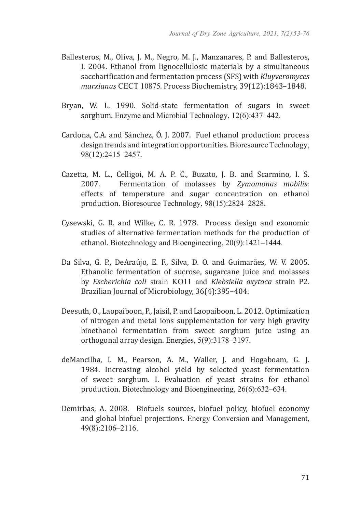- Ballesteros, M., Oliva, J. M., Negro, M. J., Manzanares, P. and Ballesteros, I. 2004. Ethanol from lignocellulosic materials by a simultaneous saccharification and fermentation process (SFS) with *Kluyveromyces marxianus* CECT 10875. Process Biochemistry, 39(12):1843–1848.
- Bryan, W. L. 1990. Solid-state fermentation of sugars in sweet sorghum. Enzyme and Microbial Technology, 12(6):437–442.
- Cardona, C.A. and Sánchez, Ó. J. 2007. Fuel ethanol production: process design trends and integration opportunities. Bioresource Technology, 98(12):2415–2457.
- Cazetta, M. L., Celligoi, M. A. P. C., Buzato, J. B. and Scarmino, I. S.<br>2007. Fermentation of molasses by Zymomonas mobilis: Fermentation of molasses by *Zymomonas mobilis*: effects of temperature and sugar concentration on ethanol production. Bioresource Technology, 98(15):2824–2828.
- Cysewski, G. R. and Wilke, C. R. 1978. Process design and exonomic studies of alternative fermentation methods for the production of ethanol. Biotechnology and Bioengineering, 20(9):1421–1444.
- Da Silva, G. P., DeAraújo, E. F., Silva, D. O. and Guimarães, W. V. 2005. Ethanolic fermentation of sucrose, sugarcane juice and molasses by *Escherichia coli* strain KO11 and *Klebsiella oxytoca* strain P2. Brazilian Journal of Microbiology, 36(4):395–404.
- Deesuth, O., Laopaiboon, P., Jaisil, P. and Laopaiboon, L. 2012. Optimization of nitrogen and metal ions supplementation for very high gravity bioethanol fermentation from sweet sorghum juice using an orthogonal array design. Energies, 5(9):3178–3197.
- deMancilha, I. M., Pearson, A. M., Waller, J. and Hogaboam, G. J. 1984. Increasing alcohol yield by selected yeast fermentation of sweet sorghum. I. Evaluation of yeast strains for ethanol production. Biotechnology and Bioengineering, 26(6):632–634.
- Demirbas, A. 2008. Biofuels sources, biofuel policy, biofuel economy and global biofuel projections. Energy Conversion and Management, 49(8):2106–2116.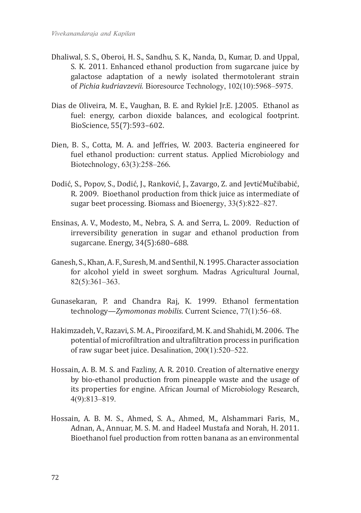- Dhaliwal, S. S., Oberoi, H. S., Sandhu, S. K., Nanda, D., Kumar, D. and Uppal, S. K. 2011. Enhanced ethanol production from sugarcane juice by galactose adaptation of a newly isolated thermotolerant strain of *Pichia kudriavzevii.* Bioresource Technology, 102(10):5968–5975.
- Dias de Oliveira, M. E., Vaughan, B. E. and Rykiel Jr.E. J.2005. Ethanol as fuel: energy, carbon dioxide balances, and ecological footprint. BioScience, 55(7):593–602.
- Dien, B. S., Cotta, M. A. and Jeffries, W. 2003. Bacteria engineered for fuel ethanol production: current status. Applied Microbiology and Biotechnology, 63(3):258–266.
- Dodić, S., Popov, S., Dodić, J., Ranković, J., Zavargo, Z. and JevtićMučibabić, R. 2009. Bioethanol production from thick juice as intermediate of sugar beet processing. Biomass and Bioenergy, 33(5):822–827.
- Ensinas, A. V., Modesto, M., Nebra, S. A. and Serra, L. 2009. Reduction of irreversibility generation in sugar and ethanol production from sugarcane. Energy, 34(5):680–688.
- Ganesh, S., Khan, A. F., Suresh, M. and Senthil, N. 1995. Character association for alcohol yield in sweet sorghum. Madras Agricultural Journal, 82(5):361–363.
- Gunasekaran, P. and Chandra Raj, K. 1999. Ethanol fermentation technology—*Zymomonas mobilis*. Current Science, 77(1):56–68.
- Hakimzadeh, V., Razavi, S. M. A., Piroozifard, M. K. and Shahidi, M. 2006. The potential of microfiltration and ultrafiltration process in purification of raw sugar beet juice. Desalination, 200(1):520–522.
- Hossain, A. B. M. S. and Fazliny, A. R. 2010. Creation of alternative energy by bio-ethanol production from pineapple waste and the usage of its properties for engine. African Journal of Microbiology Research, 4(9):813–819.
- Hossain, A. B. M. S., Ahmed, S. A., Ahmed, M., Alshammari Faris, M., Adnan, A., Annuar, M. S. M. and Hadeel Mustafa and Norah, H. 2011. Bioethanol fuel production from rotten banana as an environmental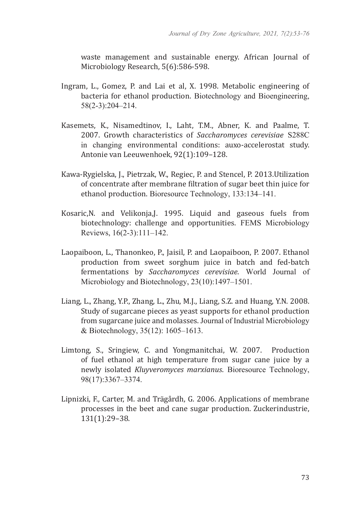waste management and sustainable energy. African Journal of Microbiology Research, 5(6):586-598.

- Ingram, L., Gomez, P. and Lai et al, X. 1998. Metabolic engineering of bacteria for ethanol production. Biotechnology and Bioengineering, 58(2-3):204–214.
- Kasemets, K., Nisamedtinov, I., Laht, T.M., Abner, K. and Paalme, T. 2007. Growth characteristics of *Saccharomyces cerevisiae* S288C in changing environmental conditions: auxo-accelerostat study. Antonie van Leeuwenhoek, 92(1):109–128.
- Kawa-Rygielska, J., Pietrzak, W., Regiec, P. and Stencel, P. 2013.Utilization of concentrate after membrane filtration of sugar beet thin juice for ethanol production. Bioresource Technology, 133:134–141.
- Kosaric,N. and Velikonja,J. 1995. Liquid and gaseous fuels from biotechnology: challenge and opportunities. FEMS Microbiology Reviews, 16(2-3):111–142.
- Laopaiboon, L., Thanonkeo, P., Jaisil, P. and Laopaiboon, P. 2007. Ethanol production from sweet sorghum juice in batch and fed-batch fermentations by *Saccharomyces cerevisiae*. World Journal of Microbiology and Biotechnology, 23(10):1497–1501.
- Liang, L., Zhang, Y.P., Zhang, L., Zhu, M.J., Liang, S.Z. and Huang, Y.N. 2008. Study of sugarcane pieces as yeast supports for ethanol production from sugarcane juice and molasses. Journal of Industrial Microbiology & Biotechnology, 35(12): 1605–1613.
- Limtong, S., Sringiew, C. and Yongmanitchai, W. 2007. Production of fuel ethanol at high temperature from sugar cane juice by a newly isolated *Kluyveromyces marxianus*. Bioresource Technology, 98(17):3367–3374.
- Lipnizki, F., Carter, M. and Trägårdh, G. 2006. Applications of membrane processes in the beet and cane sugar production. Zuckerindustrie, 131(1):29–38.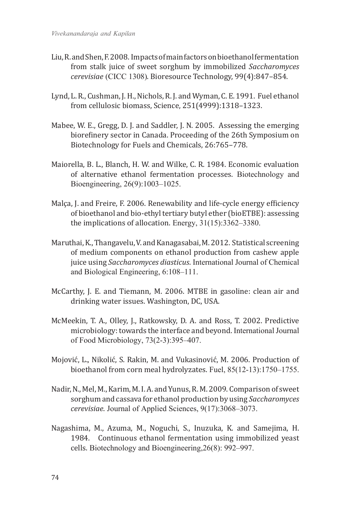- Liu, R. and Shen, F. 2008. Impacts of main factors on bioethanol fermentation from stalk juice of sweet sorghum by immobilized *Saccharomyces cerevisiae* (CICC 1308). Bioresource Technology, 99(4):847–854.
- Lynd, L. R., Cushman, J. H., Nichols, R. J. and Wyman, C. E. 1991. Fuel ethanol from cellulosic biomass, Science, 251(4999):1318–1323.
- Mabee, W. E., Gregg, D. J. and Saddler, J. N. 2005. Assessing the emerging biorefinery sector in Canada. Proceeding of the 26th Symposium on Biotechnology for Fuels and Chemicals, 26:765–778.
- Maiorella, B. L., Blanch, H. W. and Wilke, C. R. 1984. Economic evaluation of alternative ethanol fermentation processes. Biotechnology and Bioengineering, 26(9):1003–1025.
- Malça, J. and Freire, F. 2006. Renewability and life-cycle energy efficiency of bioethanol and bio-ethyl tertiary butyl ether (bioETBE): assessing the implications of allocation. Energy, 31(15):3362–3380.
- Maruthai, K., Thangavelu, V. and Kanagasabai, M. 2012. Statistical screening of medium components on ethanol production from cashew apple juice using *Saccharomyces diasticus*. International Journal of Chemical and Biological Engineering, 6:108–111.
- McCarthy, J. E. and Tiemann, M. 2006. MTBE in gasoline: clean air and drinking water issues. Washington, DC, USA.
- McMeekin, T. A., Olley, J., Ratkowsky, D. A. and Ross, T. 2002. Predictive microbiology: towards the interface and beyond. International Journal of Food Microbiology, 73(2-3):395–407.
- Mojović, L., Nikolić, S. Rakin, M. and Vukasinović, M. 2006. Production of bioethanol from corn meal hydrolyzates. Fuel, 85(12-13):1750–1755.
- Nadir, N., Mel, M., Karim, M. I. A. and Yunus, R. M. 2009. Comparison of sweet sorghum and cassava for ethanol production by using *Saccharomyces cerevisiae*. Journal of Applied Sciences, 9(17):3068–3073.
- Nagashima, M., Azuma, M., Noguchi, S., Inuzuka, K. and Samejima, H. 1984. Continuous ethanol fermentation using immobilized yeast cells. Biotechnology and Bioengineering,26(8): 992–997.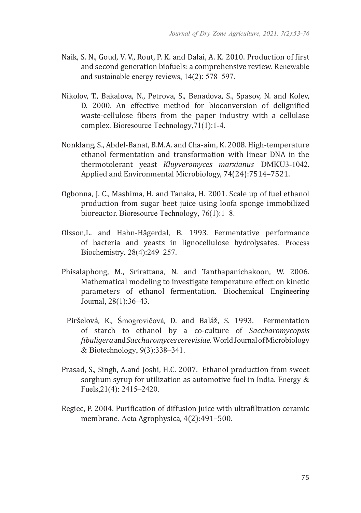- Naik, S. N., Goud, V. V., Rout, P. K. and Dalai, A. K. 2010. Production of first and second generation biofuels: a comprehensive review. Renewable and sustainable energy reviews, 14(2): 578–597.
- Nikolov, T., Bakalova, N., Petrova, S., Benadova, S., Spasov, N. and Kolev, D. 2000. An effective method for bioconversion of delignified waste-cellulose fibers from the paper industry with a cellulase complex. Bioresource Technology,71(1):1-4.
- Nonklang, S., Abdel-Banat, B.M.A. and Cha-aim, K. 2008. High-temperature ethanol fermentation and transformation with linear DNA in the thermotolerant yeast *Kluyveromyces marxianus* DMKU3-1042. Applied and Environmental Microbiology, 74(24):7514–7521.
- Ogbonna, J. C., Mashima, H. and Tanaka, H. 2001. Scale up of fuel ethanol production from sugar beet juice using loofa sponge immobilized bioreactor. Bioresource Technology, 76(1):1–8.
- Olsson,L. and Hahn-Hägerdal, B. 1993. Fermentative performance of bacteria and yeasts in lignocellulose hydrolysates. Process Biochemistry, 28(4):249–257.
- Phisalaphong, M., Srirattana, N. and Tanthapanichakoon, W. 2006. Mathematical modeling to investigate temperature effect on kinetic parameters of ethanol fermentation. Biochemical Engineering Journal, 28(1):36–43.
	- Piršelová, K., Šmogrovičová, D. and Baláž, S. 1993. Fermentation of starch to ethanol by a co-culture of *Saccharomycopsis fibuligera*and*Saccharomyces cerevisiae.*World Journal of Microbiology & Biotechnology, 9(3):338–341.
- Prasad, S., Singh, A.and Joshi, H.C. 2007. Ethanol production from sweet sorghum syrup for utilization as automotive fuel in India. Energy & Fuels,21(4): 2415–2420.
- Regiec, P. 2004. Purification of diffusion juice with ultrafiltration ceramic membrane. Acta Agrophysica, 4(2):491–500.